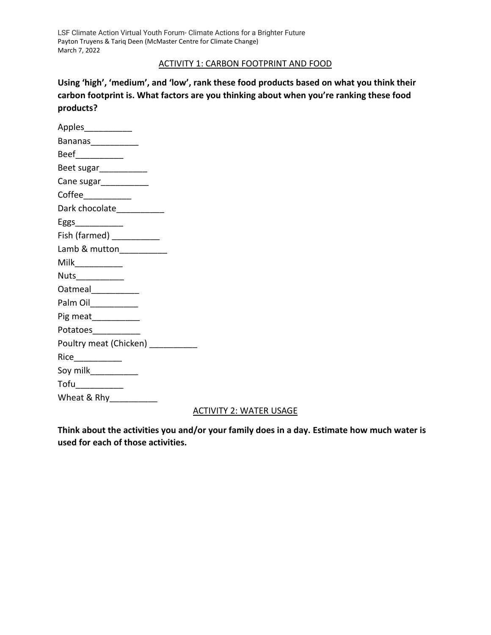LSF Climate Action Virtual Youth Forum- Climate Actions for a Brighter Future Payton Truyens & Tariq Deen (McMaster Centre for Climate Change) March 7, 2022

#### ACTIVITY 1: CARBON FOOTPRINT AND FOOD

**Using 'high', 'medium', and 'low', rank these food products based on what you think their carbon footprint is. What factors are you thinking about when you're ranking these food products?**

| Apples____________                    |
|---------------------------------------|
| Bananas___________                    |
| Beef____________                      |
| Beet sugar___________                 |
| Cane sugar___________                 |
| Coffee                                |
| Dark chocolate____________            |
| Eggs_____________                     |
| Fish (farmed) ___________             |
| Lamb & mutton____________             |
|                                       |
| Nuts____________                      |
| Oatmeal____________                   |
| Palm Oil____________                  |
| Pig meat____________                  |
| Potatoes___________                   |
| Poultry meat (Chicken) [1986]         |
| Rice____________                      |
| Soy milk____________                  |
| $\mathsf{Tofu} \_\_\_\_\_\_\_\_\_\_\$ |
|                                       |
|                                       |

### ACTIVITY 2: WATER USAGE

**Think about the activities you and/or your family does in a day. Estimate how much water is used for each of those activities.**